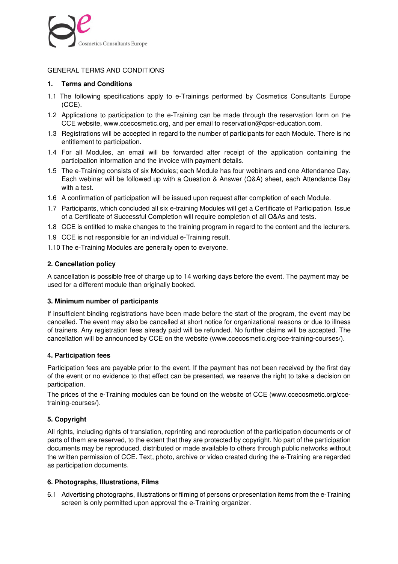

# GENERAL TERMS AND CONDITIONS

## **1. Terms and Conditions**

- 1.1 The following specifications apply to e-Trainings performed by Cosmetics Consultants Europe (CCE).
- 1.2Applications to participation to the e-Training can be made through the reservation form on the CCE website, www.ccecosmetic.org, and per email to reservation@cpsr-education.com.
- 1.3Registrations will be accepted in regard to the number of participants for each Module. There is no entitlement to participation.
- 1.4For all Modules, an email will be forwarded after receipt of the application containing the participation information and the invoice with payment details.
- 1.5 The e-Training consists of six Modules; each Module has four webinars and one Attendance Day. Each webinar will be followed up with a Question & Answer (Q&A) sheet, each Attendance Day with a test.
- 1.6 A confirmation of participation will be issued upon request after completion of each Module.
- 1.7 Participants, which concluded all six e-training Modules will get a Certificate of Participation. Issue of a Certificate of Successful Completion will require completion of all Q&As and tests.
- 1.8 CCE is entitled to make changes to the training program in regard to the content and the lecturers.
- 1.9 CCE is not responsible for an individual e-Training result.
- 1.10 The e-Training Modules are generally open to everyone.

# **2. Cancellation policy**

A cancellation is possible free of charge up to 14 working days before the event. The payment may be used for a different module than originally booked.

## **3. Minimum number of participants**

If insufficient binding registrations have been made before the start of the program, the event may be cancelled. The event may also be cancelled at short notice for organizational reasons or due to illness of trainers. Any registration fees already paid will be refunded. No further claims will be accepted. The cancellation will be announced by CCE on the website (www.ccecosmetic.org/cce-training-courses/).

## **4. Participation fees**

Participation fees are payable prior to the event. If the payment has not been received by the first day of the event or no evidence to that effect can be presented, we reserve the right to take a decision on participation.

The prices of the e-Training modules can be found on the website of CCE (www.ccecosmetic.org/ccetraining-courses/).

## **5. Copyright**

All rights, including rights of translation, reprinting and reproduction of the participation documents or of parts of them are reserved, to the extent that they are protected by copyright. No part of the participation documents may be reproduced, distributed or made available to others through public networks without the written permission of CCE. Text, photo, archive or video created during the e-Training are regarded as participation documents.

## **6. Photographs, Illustrations, Films**

6.1 Advertising photographs, illustrations or filming of persons or presentation items from the e-Training screen is only permitted upon approval the e-Training organizer.